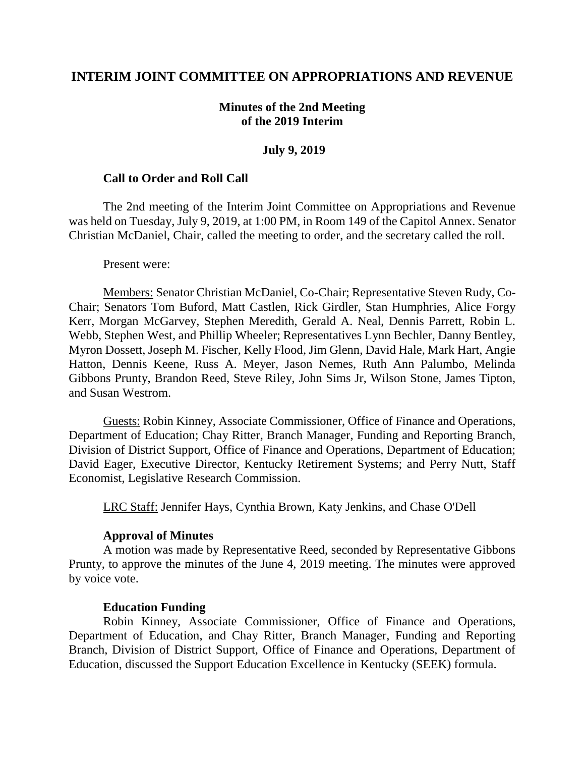## **INTERIM JOINT COMMITTEE ON APPROPRIATIONS AND REVENUE**

## **Minutes of the 2nd Meeting of the 2019 Interim**

#### **July 9, 2019**

#### **Call to Order and Roll Call**

The 2nd meeting of the Interim Joint Committee on Appropriations and Revenue was held on Tuesday, July 9, 2019, at 1:00 PM, in Room 149 of the Capitol Annex. Senator Christian McDaniel, Chair, called the meeting to order, and the secretary called the roll.

Present were:

Members: Senator Christian McDaniel, Co-Chair; Representative Steven Rudy, Co-Chair; Senators Tom Buford, Matt Castlen, Rick Girdler, Stan Humphries, Alice Forgy Kerr, Morgan McGarvey, Stephen Meredith, Gerald A. Neal, Dennis Parrett, Robin L. Webb, Stephen West, and Phillip Wheeler; Representatives Lynn Bechler, Danny Bentley, Myron Dossett, Joseph M. Fischer, Kelly Flood, Jim Glenn, David Hale, Mark Hart, Angie Hatton, Dennis Keene, Russ A. Meyer, Jason Nemes, Ruth Ann Palumbo, Melinda Gibbons Prunty, Brandon Reed, Steve Riley, John Sims Jr, Wilson Stone, James Tipton, and Susan Westrom.

Guests: Robin Kinney, Associate Commissioner, Office of Finance and Operations, Department of Education; Chay Ritter, Branch Manager, Funding and Reporting Branch, Division of District Support, Office of Finance and Operations, Department of Education; David Eager, Executive Director, Kentucky Retirement Systems; and Perry Nutt, Staff Economist, Legislative Research Commission.

LRC Staff: Jennifer Hays, Cynthia Brown, Katy Jenkins, and Chase O'Dell

### **Approval of Minutes**

A motion was made by Representative Reed, seconded by Representative Gibbons Prunty, to approve the minutes of the June 4, 2019 meeting. The minutes were approved by voice vote.

#### **Education Funding**

Robin Kinney, Associate Commissioner, Office of Finance and Operations, Department of Education, and Chay Ritter, Branch Manager, Funding and Reporting Branch, Division of District Support, Office of Finance and Operations, Department of Education, discussed the Support Education Excellence in Kentucky (SEEK) formula.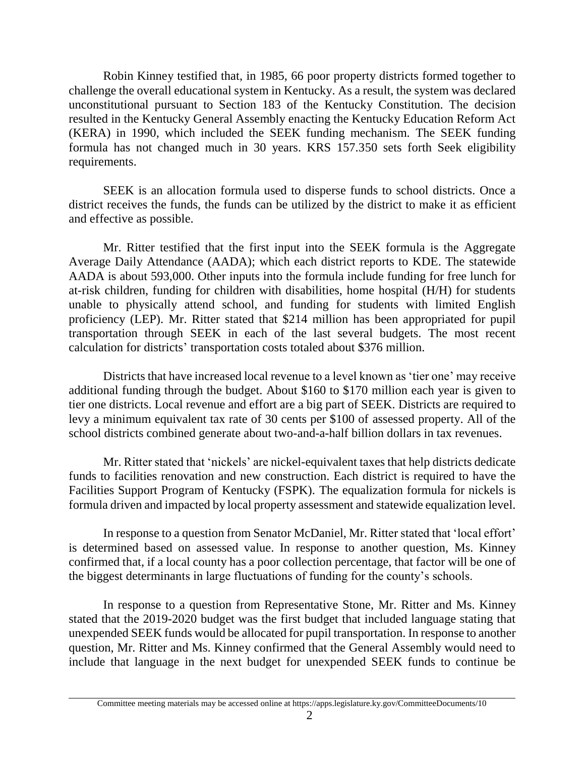Robin Kinney testified that, in 1985, 66 poor property districts formed together to challenge the overall educational system in Kentucky. As a result, the system was declared unconstitutional pursuant to Section 183 of the Kentucky Constitution. The decision resulted in the Kentucky General Assembly enacting the Kentucky Education Reform Act (KERA) in 1990, which included the SEEK funding mechanism. The SEEK funding formula has not changed much in 30 years. KRS 157.350 sets forth Seek eligibility requirements.

SEEK is an allocation formula used to disperse funds to school districts. Once a district receives the funds, the funds can be utilized by the district to make it as efficient and effective as possible.

Mr. Ritter testified that the first input into the SEEK formula is the Aggregate Average Daily Attendance (AADA); which each district reports to KDE. The statewide AADA is about 593,000. Other inputs into the formula include funding for free lunch for at-risk children, funding for children with disabilities, home hospital (H/H) for students unable to physically attend school, and funding for students with limited English proficiency (LEP). Mr. Ritter stated that \$214 million has been appropriated for pupil transportation through SEEK in each of the last several budgets. The most recent calculation for districts' transportation costs totaled about \$376 million.

Districts that have increased local revenue to a level known as 'tier one' may receive additional funding through the budget. About \$160 to \$170 million each year is given to tier one districts. Local revenue and effort are a big part of SEEK. Districts are required to levy a minimum equivalent tax rate of 30 cents per \$100 of assessed property. All of the school districts combined generate about two-and-a-half billion dollars in tax revenues.

Mr. Ritter stated that 'nickels' are nickel-equivalent taxes that help districts dedicate funds to facilities renovation and new construction. Each district is required to have the Facilities Support Program of Kentucky (FSPK). The equalization formula for nickels is formula driven and impacted by local property assessment and statewide equalization level.

In response to a question from Senator McDaniel, Mr. Ritter stated that 'local effort' is determined based on assessed value. In response to another question, Ms. Kinney confirmed that, if a local county has a poor collection percentage, that factor will be one of the biggest determinants in large fluctuations of funding for the county's schools.

In response to a question from Representative Stone, Mr. Ritter and Ms. Kinney stated that the 2019-2020 budget was the first budget that included language stating that unexpended SEEK funds would be allocated for pupil transportation. In response to another question, Mr. Ritter and Ms. Kinney confirmed that the General Assembly would need to include that language in the next budget for unexpended SEEK funds to continue be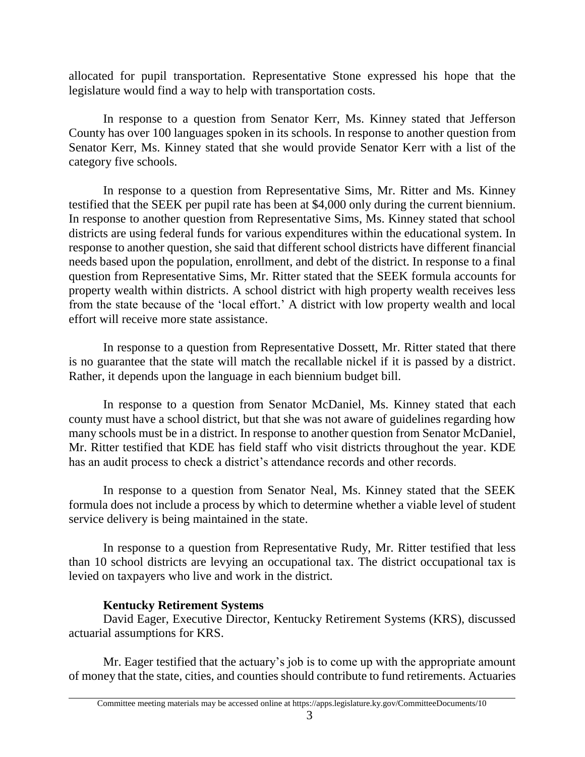allocated for pupil transportation. Representative Stone expressed his hope that the legislature would find a way to help with transportation costs.

In response to a question from Senator Kerr, Ms. Kinney stated that Jefferson County has over 100 languages spoken in its schools. In response to another question from Senator Kerr, Ms. Kinney stated that she would provide Senator Kerr with a list of the category five schools.

In response to a question from Representative Sims, Mr. Ritter and Ms. Kinney testified that the SEEK per pupil rate has been at \$4,000 only during the current biennium. In response to another question from Representative Sims, Ms. Kinney stated that school districts are using federal funds for various expenditures within the educational system. In response to another question, she said that different school districts have different financial needs based upon the population, enrollment, and debt of the district. In response to a final question from Representative Sims, Mr. Ritter stated that the SEEK formula accounts for property wealth within districts. A school district with high property wealth receives less from the state because of the 'local effort.' A district with low property wealth and local effort will receive more state assistance.

In response to a question from Representative Dossett, Mr. Ritter stated that there is no guarantee that the state will match the recallable nickel if it is passed by a district. Rather, it depends upon the language in each biennium budget bill.

In response to a question from Senator McDaniel, Ms. Kinney stated that each county must have a school district, but that she was not aware of guidelines regarding how many schools must be in a district. In response to another question from Senator McDaniel, Mr. Ritter testified that KDE has field staff who visit districts throughout the year. KDE has an audit process to check a district's attendance records and other records.

In response to a question from Senator Neal, Ms. Kinney stated that the SEEK formula does not include a process by which to determine whether a viable level of student service delivery is being maintained in the state.

In response to a question from Representative Rudy, Mr. Ritter testified that less than 10 school districts are levying an occupational tax. The district occupational tax is levied on taxpayers who live and work in the district.

# **Kentucky Retirement Systems**

David Eager, Executive Director, Kentucky Retirement Systems (KRS), discussed actuarial assumptions for KRS.

Mr. Eager testified that the actuary's job is to come up with the appropriate amount of money that the state, cities, and counties should contribute to fund retirements. Actuaries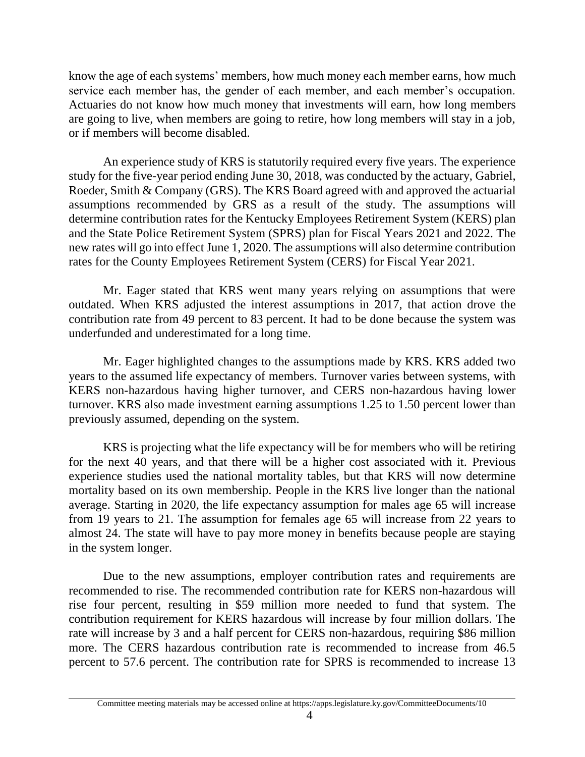know the age of each systems' members, how much money each member earns, how much service each member has, the gender of each member, and each member's occupation. Actuaries do not know how much money that investments will earn, how long members are going to live, when members are going to retire, how long members will stay in a job, or if members will become disabled.

An experience study of KRS is statutorily required every five years. The experience study for the five-year period ending June 30, 2018, was conducted by the actuary, Gabriel, Roeder, Smith & Company (GRS). The KRS Board agreed with and approved the actuarial assumptions recommended by GRS as a result of the study. The assumptions will determine contribution rates for the Kentucky Employees Retirement System (KERS) plan and the State Police Retirement System (SPRS) plan for Fiscal Years 2021 and 2022. The new rates will go into effect June 1, 2020. The assumptions will also determine contribution rates for the County Employees Retirement System (CERS) for Fiscal Year 2021.

Mr. Eager stated that KRS went many years relying on assumptions that were outdated. When KRS adjusted the interest assumptions in 2017, that action drove the contribution rate from 49 percent to 83 percent. It had to be done because the system was underfunded and underestimated for a long time.

Mr. Eager highlighted changes to the assumptions made by KRS. KRS added two years to the assumed life expectancy of members. Turnover varies between systems, with KERS non-hazardous having higher turnover, and CERS non-hazardous having lower turnover. KRS also made investment earning assumptions 1.25 to 1.50 percent lower than previously assumed, depending on the system.

KRS is projecting what the life expectancy will be for members who will be retiring for the next 40 years, and that there will be a higher cost associated with it. Previous experience studies used the national mortality tables, but that KRS will now determine mortality based on its own membership. People in the KRS live longer than the national average. Starting in 2020, the life expectancy assumption for males age 65 will increase from 19 years to 21. The assumption for females age 65 will increase from 22 years to almost 24. The state will have to pay more money in benefits because people are staying in the system longer.

Due to the new assumptions, employer contribution rates and requirements are recommended to rise. The recommended contribution rate for KERS non-hazardous will rise four percent, resulting in \$59 million more needed to fund that system. The contribution requirement for KERS hazardous will increase by four million dollars. The rate will increase by 3 and a half percent for CERS non-hazardous, requiring \$86 million more. The CERS hazardous contribution rate is recommended to increase from 46.5 percent to 57.6 percent. The contribution rate for SPRS is recommended to increase 13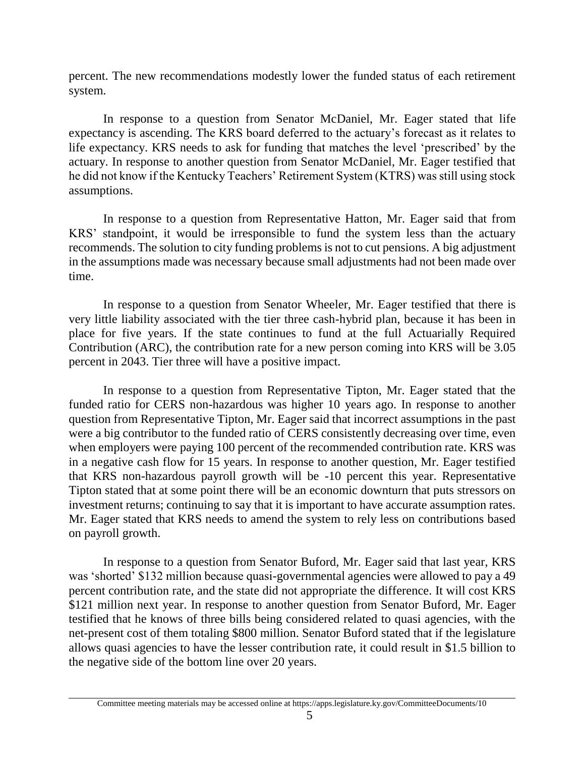percent. The new recommendations modestly lower the funded status of each retirement system.

In response to a question from Senator McDaniel, Mr. Eager stated that life expectancy is ascending. The KRS board deferred to the actuary's forecast as it relates to life expectancy. KRS needs to ask for funding that matches the level 'prescribed' by the actuary. In response to another question from Senator McDaniel, Mr. Eager testified that he did not know if the Kentucky Teachers' Retirement System (KTRS) was still using stock assumptions.

In response to a question from Representative Hatton, Mr. Eager said that from KRS' standpoint, it would be irresponsible to fund the system less than the actuary recommends. The solution to city funding problems is not to cut pensions. A big adjustment in the assumptions made was necessary because small adjustments had not been made over time.

In response to a question from Senator Wheeler, Mr. Eager testified that there is very little liability associated with the tier three cash-hybrid plan, because it has been in place for five years. If the state continues to fund at the full Actuarially Required Contribution (ARC), the contribution rate for a new person coming into KRS will be 3.05 percent in 2043. Tier three will have a positive impact.

In response to a question from Representative Tipton, Mr. Eager stated that the funded ratio for CERS non-hazardous was higher 10 years ago. In response to another question from Representative Tipton, Mr. Eager said that incorrect assumptions in the past were a big contributor to the funded ratio of CERS consistently decreasing over time, even when employers were paying 100 percent of the recommended contribution rate. KRS was in a negative cash flow for 15 years. In response to another question, Mr. Eager testified that KRS non-hazardous payroll growth will be -10 percent this year. Representative Tipton stated that at some point there will be an economic downturn that puts stressors on investment returns; continuing to say that it is important to have accurate assumption rates. Mr. Eager stated that KRS needs to amend the system to rely less on contributions based on payroll growth.

In response to a question from Senator Buford, Mr. Eager said that last year, KRS was 'shorted' \$132 million because quasi-governmental agencies were allowed to pay a 49 percent contribution rate, and the state did not appropriate the difference. It will cost KRS \$121 million next year. In response to another question from Senator Buford, Mr. Eager testified that he knows of three bills being considered related to quasi agencies, with the net-present cost of them totaling \$800 million. Senator Buford stated that if the legislature allows quasi agencies to have the lesser contribution rate, it could result in \$1.5 billion to the negative side of the bottom line over 20 years.

Committee meeting materials may be accessed online at https://apps.legislature.ky.gov/CommitteeDocuments/10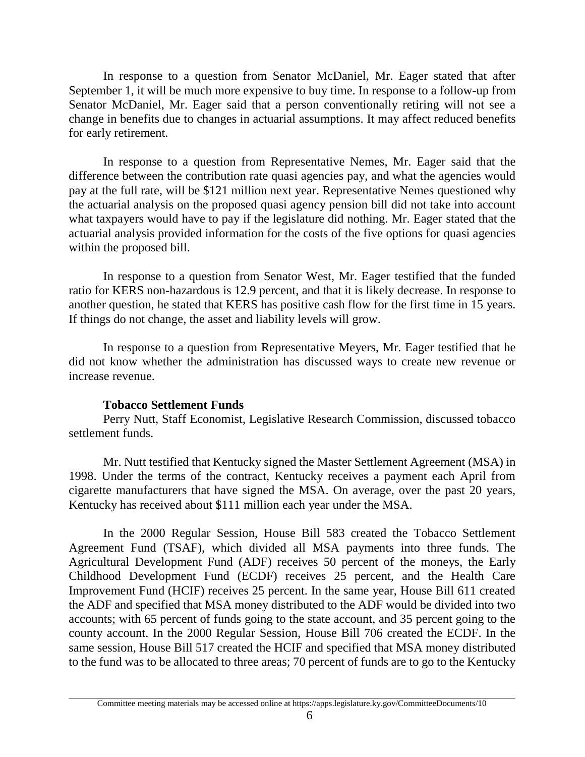In response to a question from Senator McDaniel, Mr. Eager stated that after September 1, it will be much more expensive to buy time. In response to a follow-up from Senator McDaniel, Mr. Eager said that a person conventionally retiring will not see a change in benefits due to changes in actuarial assumptions. It may affect reduced benefits for early retirement.

In response to a question from Representative Nemes, Mr. Eager said that the difference between the contribution rate quasi agencies pay, and what the agencies would pay at the full rate, will be \$121 million next year. Representative Nemes questioned why the actuarial analysis on the proposed quasi agency pension bill did not take into account what taxpayers would have to pay if the legislature did nothing. Mr. Eager stated that the actuarial analysis provided information for the costs of the five options for quasi agencies within the proposed bill.

In response to a question from Senator West, Mr. Eager testified that the funded ratio for KERS non-hazardous is 12.9 percent, and that it is likely decrease. In response to another question, he stated that KERS has positive cash flow for the first time in 15 years. If things do not change, the asset and liability levels will grow.

In response to a question from Representative Meyers, Mr. Eager testified that he did not know whether the administration has discussed ways to create new revenue or increase revenue.

### **Tobacco Settlement Funds**

Perry Nutt, Staff Economist, Legislative Research Commission, discussed tobacco settlement funds.

Mr. Nutt testified that Kentucky signed the Master Settlement Agreement (MSA) in 1998. Under the terms of the contract, Kentucky receives a payment each April from cigarette manufacturers that have signed the MSA. On average, over the past 20 years, Kentucky has received about \$111 million each year under the MSA.

In the 2000 Regular Session, House Bill 583 created the Tobacco Settlement Agreement Fund (TSAF), which divided all MSA payments into three funds. The Agricultural Development Fund (ADF) receives 50 percent of the moneys, the Early Childhood Development Fund (ECDF) receives 25 percent, and the Health Care Improvement Fund (HCIF) receives 25 percent. In the same year, House Bill 611 created the ADF and specified that MSA money distributed to the ADF would be divided into two accounts; with 65 percent of funds going to the state account, and 35 percent going to the county account. In the 2000 Regular Session, House Bill 706 created the ECDF. In the same session, House Bill 517 created the HCIF and specified that MSA money distributed to the fund was to be allocated to three areas; 70 percent of funds are to go to the Kentucky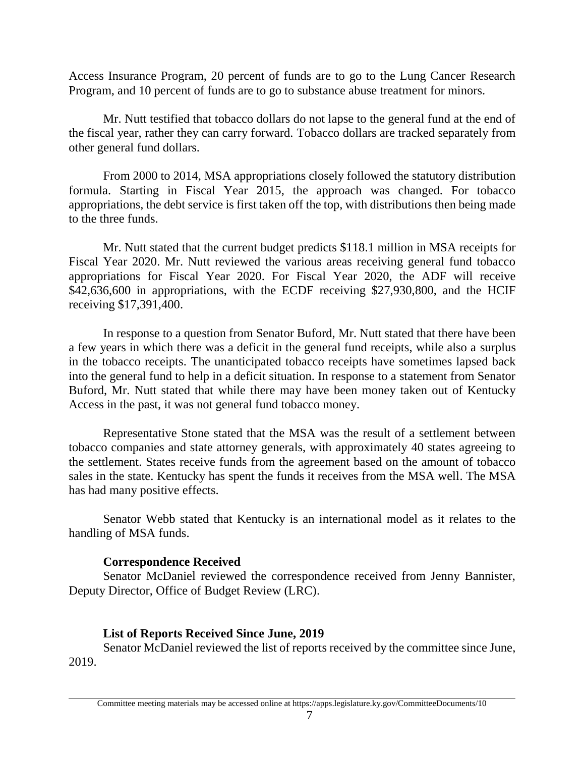Access Insurance Program, 20 percent of funds are to go to the Lung Cancer Research Program, and 10 percent of funds are to go to substance abuse treatment for minors.

Mr. Nutt testified that tobacco dollars do not lapse to the general fund at the end of the fiscal year, rather they can carry forward. Tobacco dollars are tracked separately from other general fund dollars.

From 2000 to 2014, MSA appropriations closely followed the statutory distribution formula. Starting in Fiscal Year 2015, the approach was changed. For tobacco appropriations, the debt service is first taken off the top, with distributions then being made to the three funds.

Mr. Nutt stated that the current budget predicts \$118.1 million in MSA receipts for Fiscal Year 2020. Mr. Nutt reviewed the various areas receiving general fund tobacco appropriations for Fiscal Year 2020. For Fiscal Year 2020, the ADF will receive \$42,636,600 in appropriations, with the ECDF receiving \$27,930,800, and the HCIF receiving \$17,391,400.

In response to a question from Senator Buford, Mr. Nutt stated that there have been a few years in which there was a deficit in the general fund receipts, while also a surplus in the tobacco receipts. The unanticipated tobacco receipts have sometimes lapsed back into the general fund to help in a deficit situation. In response to a statement from Senator Buford, Mr. Nutt stated that while there may have been money taken out of Kentucky Access in the past, it was not general fund tobacco money.

Representative Stone stated that the MSA was the result of a settlement between tobacco companies and state attorney generals, with approximately 40 states agreeing to the settlement. States receive funds from the agreement based on the amount of tobacco sales in the state. Kentucky has spent the funds it receives from the MSA well. The MSA has had many positive effects.

Senator Webb stated that Kentucky is an international model as it relates to the handling of MSA funds.

# **Correspondence Received**

Senator McDaniel reviewed the correspondence received from Jenny Bannister, Deputy Director, Office of Budget Review (LRC).

# **List of Reports Received Since June, 2019**

Senator McDaniel reviewed the list of reports received by the committee since June, 2019.